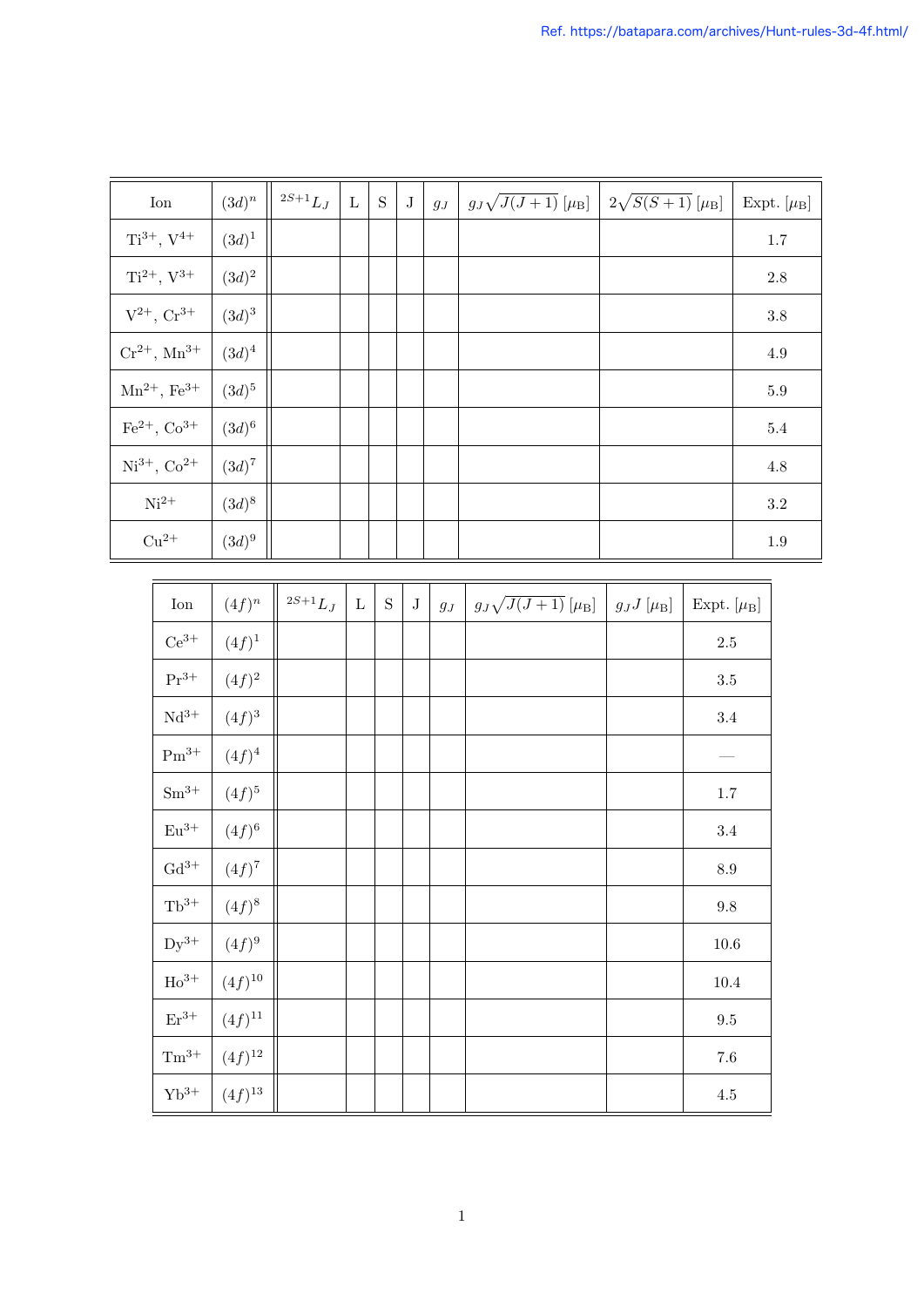| $\mathrm{Cu^{2+}}$   | $(3d)^9$    |                     |             |             |         |              |                                   |                 |                       | $\mathbf{1}$ . |
|----------------------|-------------|---------------------|-------------|-------------|---------|--------------|-----------------------------------|-----------------|-----------------------|----------------|
|                      |             |                     |             |             |         |              |                                   |                 |                       |                |
| $\operatorname{Ion}$ | $(4f)^n$    | $^{2S+1}L_{\cal J}$ | $\mathbf L$ | $\mathbf S$ | $\bf J$ | $g_{\cal J}$ | $g_J\sqrt{J(J+1)}\;[\mu_{\rm B}]$ | $g_J J [\mu_B]$ | Expt. $[\mu_{\rm B}]$ |                |
| $\mathrm{Ce^{3+}}$   | $(4f)^{1}$  |                     |             |             |         |              |                                   |                 | $2.5\,$               |                |
| $\rm Pr^{3+}$        | $(4f)^2$    |                     |             |             |         |              |                                   |                 | $3.5\,$               |                |
| $\mathrm{Nd^{3+}}$   | $(4f)^3$    |                     |             |             |         |              |                                   |                 | $3.4\,$               |                |
| $\mathrm{Pm^{3+}}$   | $(4f)^4$    |                     |             |             |         |              |                                   |                 |                       |                |
| $\rm Sm^{3+}$        | $(4f)^5$    |                     |             |             |         |              |                                   |                 | $1.7\,$               |                |
| $\mathrm{Eu^{3+}}$   | $(4f)^6$    |                     |             |             |         |              |                                   |                 | $3.4\,$               |                |
| ${\rm Gd^{3+}}$      | $(4f)^7$    |                     |             |             |         |              |                                   |                 | $\!\!\!\!\!8.9$       |                |
| $\rm Tb^{3+}$        | $(4f)^8$    |                     |             |             |         |              |                                   |                 | $\,9.8$               |                |
| $Dy^{3+}$            | $(4f)^9$    |                     |             |             |         |              |                                   |                 | $10.6\,$              |                |
| ${\rm Ho^{3+}}$      | $(4f)^{10}$ |                     |             |             |         |              |                                   |                 | $10.4\,$              |                |
| $\mathrm{Er}^{3+}$   | $(4f)^{11}$ |                     |             |             |         |              |                                   |                 | $\ \, 9.5$            |                |
| $\rm Tm^{3+}$        | $(4f)^{12}$ |                     |             |             |         |              |                                   |                 | $7.6\,$               |                |
| $\mathrm{Yb^{3+}}$   | $(4f)^{13}$ |                     |             |             |         |              |                                   |                 | $4.5\,$               |                |

| Ion                          | $(3d)^n$   | ${}^{2S+1}L_J$ | $\mathbf L$ | S | $\bf J$ | $g_J$ | $g_J\sqrt{J(J+1)}\,[\mu_{\rm B}]$ | $2\sqrt{S(S+1)} \;[\mu_{\rm B}]$ | Expt. $[\mu_{\rm B}]$ |
|------------------------------|------------|----------------|-------------|---|---------|-------|-----------------------------------|----------------------------------|-----------------------|
| $Ti^{3+}$ , $V^{4+}$         | $(3d)^{1}$ |                |             |   |         |       |                                   |                                  | $1.7\,$               |
| $Ti^{2+}$ , $V^{3+}$         | $(3d)^2$   |                |             |   |         |       |                                   |                                  | $2.8\,$               |
| $V^{2+}$ , $Cr^{3+}$         | $(3d)^3$   |                |             |   |         |       |                                   |                                  | $3.8\,$               |
| $Cr^{2+}$ , $Mn^{3+}$        | $(3d)^4$   |                |             |   |         |       |                                   |                                  | $4.9\,$               |
| $Mn^{2+}$ , Fe <sup>3+</sup> | $(3d)^5$   |                |             |   |         |       |                                   |                                  | $5.9\,$               |
| $\rm Fe^{2+},\, \rm Co^{3+}$ | $(3d)^6$   |                |             |   |         |       |                                   |                                  | $5.4\,$               |
| $Ni^{3+}$ , $Co^{2+}$        | $(3d)^7$   |                |             |   |         |       |                                   |                                  | $4.8\,$               |
| $Ni2+$                       | $(3d)^{8}$ |                |             |   |         |       |                                   |                                  | $3.2\,$               |
| $Cu^{2+}$                    | $(3d)^9$   |                |             |   |         |       |                                   |                                  | $1.9\,$               |